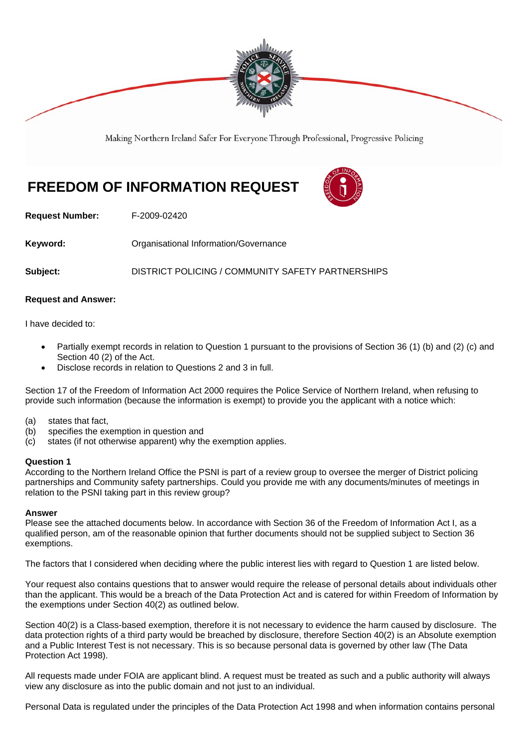

Making Northern Ireland Safer For Everyone Through Professional, Progressive Policing

# **FREEDOM OF INFORMATION REQUEST**



**Request Number:** F-2009-02420

**Keyword: Communistry Communistional Information/Governance** 

**Subject:** DISTRICT POLICING / COMMUNITY SAFETY PARTNERSHIPS

### **Request and Answer:**

I have decided to:

- Partially exempt records in relation to Question 1 pursuant to the provisions of Section 36 (1) (b) and (2) (c) and Section 40 (2) of the Act.
- Disclose records in relation to Questions 2 and 3 in full.

Section 17 of the Freedom of Information Act 2000 requires the Police Service of Northern Ireland, when refusing to provide such information (because the information is exempt) to provide you the applicant with a notice which:

- (a) states that fact,
- (b) specifies the exemption in question and
- (c) states (if not otherwise apparent) why the exemption applies.

#### **Question 1**

According to the Northern Ireland Office the PSNI is part of a review group to oversee the merger of District policing partnerships and Community safety partnerships. Could you provide me with any documents/minutes of meetings in relation to the PSNI taking part in this review group?

#### **Answer**

Please see the attached documents below. In accordance with Section 36 of the Freedom of Information Act I, as a qualified person, am of the reasonable opinion that further documents should not be supplied subject to Section 36 exemptions.

The factors that I considered when deciding where the public interest lies with regard to Question 1 are listed below.

Your request also contains questions that to answer would require the release of personal details about individuals other than the applicant. This would be a breach of the Data Protection Act and is catered for within Freedom of Information by the exemptions under Section 40(2) as outlined below.

Section 40(2) is a Class-based exemption, therefore it is not necessary to evidence the harm caused by disclosure. The data protection rights of a third party would be breached by disclosure, therefore Section 40(2) is an Absolute exemption and a Public Interest Test is not necessary. This is so because personal data is governed by other law (The Data Protection Act 1998).

All requests made under FOIA are applicant blind. A request must be treated as such and a public authority will always view any disclosure as into the public domain and not just to an individual.

Personal Data is regulated under the principles of the Data Protection Act 1998 and when information contains personal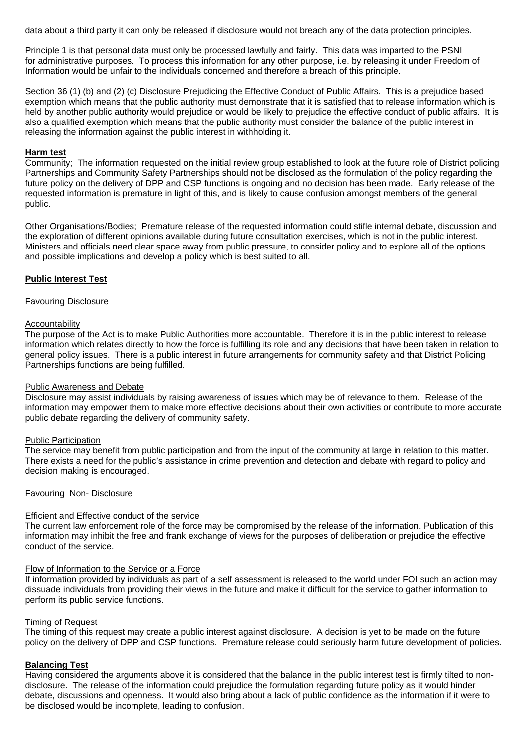data about a third party it can only be released if disclosure would not breach any of the data protection principles.

Principle 1 is that personal data must only be processed lawfully and fairly. This data was imparted to the PSNI for administrative purposes. To process this information for any other purpose, i.e. by releasing it under Freedom of Information would be unfair to the individuals concerned and therefore a breach of this principle.

Section 36 (1) (b) and (2) (c) Disclosure Prejudicing the Effective Conduct of Public Affairs. This is a prejudice based exemption which means that the public authority must demonstrate that it is satisfied that to release information which is held by another public authority would prejudice or would be likely to prejudice the effective conduct of public affairs. It is also a qualified exemption which means that the public authority must consider the balance of the public interest in releasing the information against the public interest in withholding it.

### **Harm test**

Community; The information requested on the initial review group established to look at the future role of District policing Partnerships and Community Safety Partnerships should not be disclosed as the formulation of the policy regarding the future policy on the delivery of DPP and CSP functions is ongoing and no decision has been made. Early release of the requested information is premature in light of this, and is likely to cause confusion amongst members of the general public.

Other Organisations/Bodies; Premature release of the requested information could stifle internal debate, discussion and the exploration of different opinions available during future consultation exercises, which is not in the public interest. Ministers and officials need clear space away from public pressure, to consider policy and to explore all of the options and possible implications and develop a policy which is best suited to all.

#### **Public Interest Test**

#### Favouring Disclosure

### **Accountability**

The purpose of the Act is to make Public Authorities more accountable. Therefore it is in the public interest to release information which relates directly to how the force is fulfilling its role and any decisions that have been taken in relation to general policy issues. There is a public interest in future arrangements for community safety and that District Policing Partnerships functions are being fulfilled.

#### Public Awareness and Debate

Disclosure may assist individuals by raising awareness of issues which may be of relevance to them. Release of the information may empower them to make more effective decisions about their own activities or contribute to more accurate public debate regarding the delivery of community safety.

#### Public Participation

The service may benefit from public participation and from the input of the community at large in relation to this matter. There exists a need for the public's assistance in crime prevention and detection and debate with regard to policy and decision making is encouraged.

#### Favouring Non- Disclosure

#### Efficient and Effective conduct of the service

The current law enforcement role of the force may be compromised by the release of the information. Publication of this information may inhibit the free and frank exchange of views for the purposes of deliberation or prejudice the effective conduct of the service.

#### Flow of Information to the Service or a Force

If information provided by individuals as part of a self assessment is released to the world under FOI such an action may dissuade individuals from providing their views in the future and make it difficult for the service to gather information to perform its public service functions.

#### Timing of Request

The timing of this request may create a public interest against disclosure. A decision is yet to be made on the future policy on the delivery of DPP and CSP functions. Premature release could seriously harm future development of policies.

#### **Balancing Test**

Having considered the arguments above it is considered that the balance in the public interest test is firmly tilted to nondisclosure. The release of the information could prejudice the formulation regarding future policy as it would hinder debate, discussions and openness. It would also bring about a lack of public confidence as the information if it were to be disclosed would be incomplete, leading to confusion.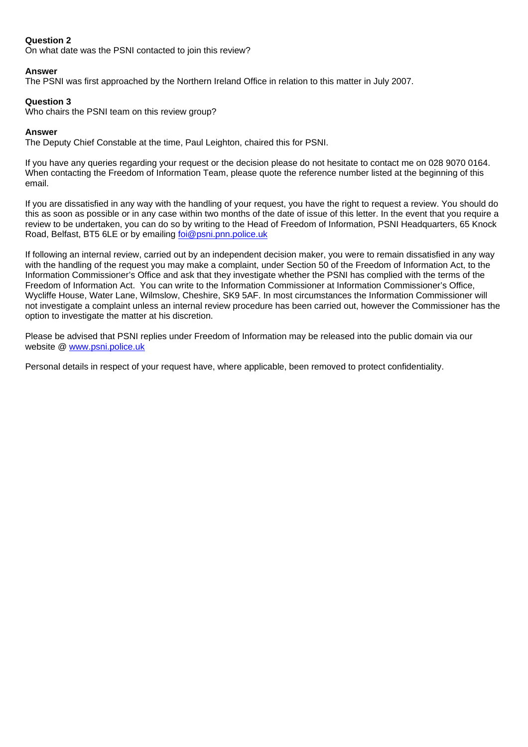### **Question 2**

On what date was the PSNI contacted to join this review?

### **Answer**

The PSNI was first approached by the Northern Ireland Office in relation to this matter in July 2007.

### **Question 3**

Who chairs the PSNI team on this review group?

### **Answer**

The Deputy Chief Constable at the time, Paul Leighton, chaired this for PSNI.

If you have any queries regarding your request or the decision please do not hesitate to contact me on 028 9070 0164. When contacting the Freedom of Information Team, please quote the reference number listed at the beginning of this email.

If you are dissatisfied in any way with the handling of your request, you have the right to request a review. You should do this as soon as possible or in any case within two months of the date of issue of this letter. In the event that you require a review to be undertaken, you can do so by writing to the Head of Freedom of Information, PSNI Headquarters, 65 Knock Road, Belfast, BT5 6LE or by emailing foi@psni.pnn.police.uk

If following an internal review, carried out by an independent decision maker, you were to remain dissatisfied in any way with the handling of the request you may make a complaint, under Section 50 of the Freedom of Information Act, to the Information Commissioner's Office and ask that they investigate whether the PSNI has complied with the terms of the Freedom of Information Act. You can write to the Information Commissioner at Information Commissioner's Office, Wycliffe House, Water Lane, Wilmslow, Cheshire, SK9 5AF. In most circumstances the Information Commissioner will not investigate a complaint unless an internal review procedure has been carried out, however the Commissioner has the option to investigate the matter at his discretion.

Please be advised that PSNI replies under Freedom of Information may be released into the public domain via our website @ www.psni.police.uk

Personal details in respect of your request have, where applicable, been removed to protect confidentiality.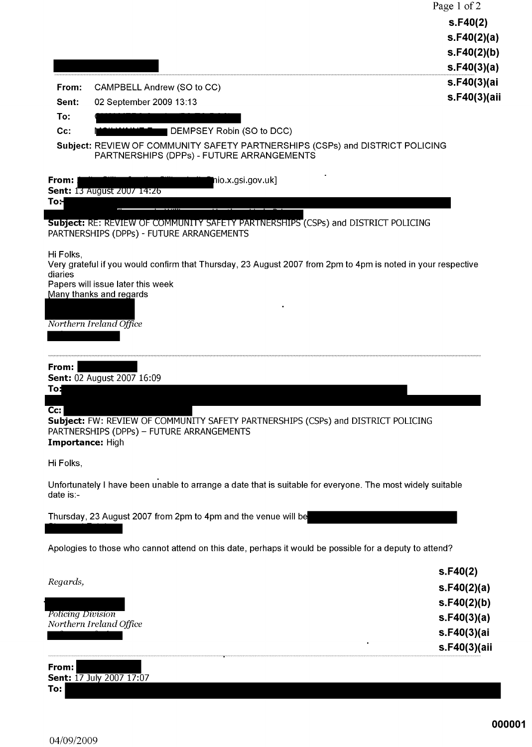|                                                         |                                                                                                                                                                                                                                                                                                                                                                                                            | Page 1 of 2<br>S.F40(2)<br>s.F40(2)(a)<br>s.F40(2)(b)<br>s.F40(3)(a)                 |
|---------------------------------------------------------|------------------------------------------------------------------------------------------------------------------------------------------------------------------------------------------------------------------------------------------------------------------------------------------------------------------------------------------------------------------------------------------------------------|--------------------------------------------------------------------------------------|
| From:<br>Sent:<br>To:<br>Cc:                            | CAMPBELL Andrew (SO to CC)<br>02 September 2009 13:13<br>DEMPSEY Robin (SO to DCC)<br>Subject: REVIEW OF COMMUNITY SAFETY PARTNERSHIPS (CSPs) and DISTRICT POLICING<br>PARTNERSHIPS (DPPs) - FUTURE ARRANGEMENTS                                                                                                                                                                                           | s.F40(3)(ai<br>s.F40(3)(aii                                                          |
| From:<br>To:l<br>Hi Folks,<br>diaries                   | nio.x.gsi.gov.uk]<br><b>Sent: 13 August 2007 14:26</b><br><b>Subject:</b> RE: REVIEW OF COMMUNITY SAFETY PARTNERSHIPS (CSPs) and DISTRICT POLICING<br>PARTNERSHIPS (DPPs) - FUTURE ARRANGEMENTS<br>Very grateful if you would confirm that Thursday, 23 August 2007 from 2pm to 4pm is noted in your respective<br>Papers will issue later this week<br>Many thanks and regards<br>Northern Ireland Office |                                                                                      |
| From:<br>To:<br>$Cc$ :<br>Importance: High<br>Hi Folks, | Sent: 02 August 2007 16:09<br>Subject: FW: REVIEW OF COMMUNITY SAFETY PARTNERSHIPS (CSPs) and DISTRICT POLICING<br>PARTNERSHIPS (DPPs) - FUTURE ARRANGEMENTS                                                                                                                                                                                                                                               |                                                                                      |
| date is:-                                               | Unfortunately I have been unable to arrange a date that is suitable for everyone. The most widely suitable<br>Thursday, 23 August 2007 from 2pm to 4pm and the venue will be<br>Apologies to those who cannot attend on this date, perhaps it would be possible for a deputy to attend?                                                                                                                    |                                                                                      |
| Regards,<br><b>Policing Division</b>                    | Northern Ireland Office                                                                                                                                                                                                                                                                                                                                                                                    | s.F40(2)<br>s.F40(2)(a)<br>s.F40(2)(b)<br>s.F40(3)(a)<br>s.F40(3)(ai<br>s.F40(3)(aii |

**From:**<br>Sent: 17 July 2007 17:07  $To:$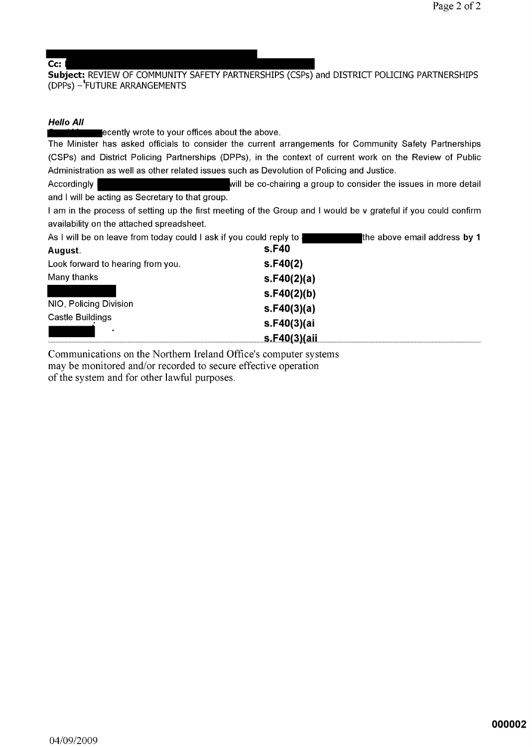### $\overline{\text{Cc: I}}$

Subject: REVIEW OF COMMUNITY SAFETY PARTNERSHIPS (CSPs) and DISTRICT POLICING PARTNERSHIPS (DPPs) - FUTURE ARRANGEMENTS

#### **Hello All**

ecently wrote to your offices about the above.

The Minister has asked officials to consider the current arrangements for Community Safety Partnerships (CSPs) and District Policing Partnerships (DPPs), in the context of current work on the Review of Public Administration as well as other related issues such as Devolution of Policing and Justice.

will be co-chairing a group to consider the issues in more detail **Accordingly** and I will be acting as Secretary to that group.

I am in the process of setting up the first meeting of the Group and I would be v grateful if you could confirm availability on the attached spreadsheet.

| As I will be on leave from today could I ask if you could reply to I |             | the above email address by 1 |
|----------------------------------------------------------------------|-------------|------------------------------|
| August.                                                              | s.F40       |                              |
| Look forward to hearing from you.                                    | S.F40(2)    |                              |
| Many thanks                                                          | s.F40(2)(a) |                              |
|                                                                      | s.F40(2)(b) |                              |
| NIO, Policing Division                                               | s.F40(3)(a) |                              |
| Castle Buildings                                                     | s.F40(3)(ai |                              |
|                                                                      | EAM3Yair    |                              |

Communications on the Northern Ireland Office's computer systems may be monitored and/or recorded to secure effective operation of the system and for other lawful purposes.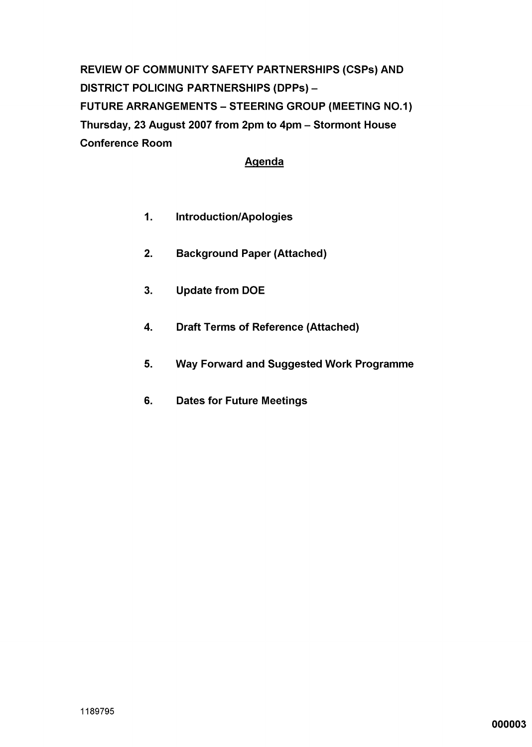REVIEW OF COMMUNITY SAFETY PARTNERSHIPS (CSPs) AND **DISTRICT POLICING PARTNERSHIPS (DPPs) -FUTURE ARRANGEMENTS - STEERING GROUP (MEETING NO.1)** Thursday, 23 August 2007 from 2pm to 4pm - Stormont House **Conference Room** 

### **Agenda**

- $1.$ **Introduction/Apologies**
- **Background Paper (Attached)**  $2.$
- $3<sub>1</sub>$ **Update from DOE**
- 4. **Draft Terms of Reference (Attached)**
- 5. **Way Forward and Suggested Work Programme**
- 6. **Dates for Future Meetings**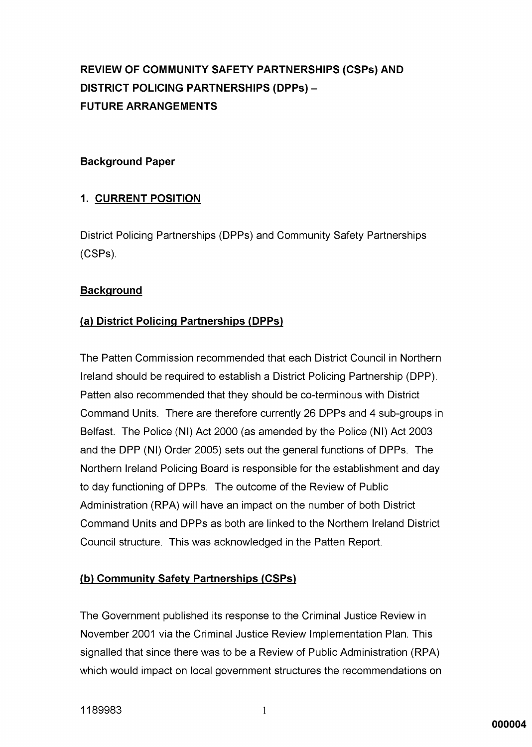## **REVIEW OF COMMUNITY SAFETY PARTNERSHIPS (CSPs) AND DISTRICT POLICING PARTNERSHIPS (DPPs) -FUTURE ARRANGEMENTS**

### **Background Paper**

### **1. CURRENT POSITION**

District Policing Partnerships (DPPs) and Community Safety Partnerships (CSPs).

### **Background**

### (a) District Policing Partnerships (DPPs)

The Patten Commission recommended that each District Council in Northern Ireland should be required to establish a District Policing Partnership (DPP). Patten also recommended that they should be co-terminous with District Command Units. There are therefore currently 26 DPPs and 4 sub-groups in Belfast. The Police (NI) Act 2000 (as amended by the Police (NI) Act 2003 and the DPP (NI) Order 2005) sets out the general functions of DPPs. The Northern Ireland Policing Board is responsible for the establishment and day to day functioning of DPPs. The outcome of the Review of Public Administration (RPA) will have an impact on the number of both District Command Units and DPPs as both are linked to the Northern Ireland District Council structure. This was acknowledged in the Patten Report.

### (b) Community Safety Partnerships (CSPs)

The Government published its response to the Criminal Justice Review in November 2001 via the Criminal Justice Review Implementation Plan. This signalled that since there was to be a Review of Public Administration (RPA) which would impact on local government structures the recommendations on

 $\mathbf{1}$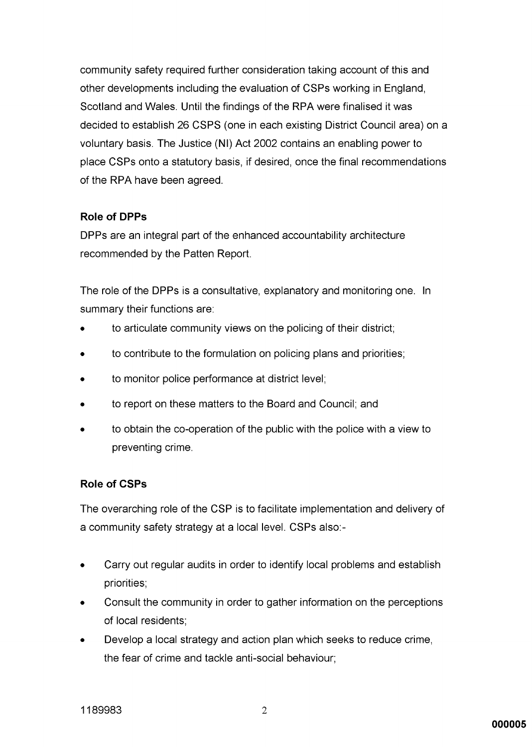community safety required further consideration taking account of this and other developments including the evaluation of CSPs working in England. Scotland and Wales. Until the findings of the RPA were finalised it was decided to establish 26 CSPS (one in each existing District Council area) on a voluntary basis. The Justice (NI) Act 2002 contains an enabling power to place CSPs onto a statutory basis, if desired, once the final recommendations of the RPA have been agreed.

### **Role of DPPs**

DPPs are an integral part of the enhanced accountability architecture recommended by the Patten Report.

The role of the DPPs is a consultative, explanatory and monitoring one. In summary their functions are:

- to articulate community views on the policing of their district;
- to contribute to the formulation on policing plans and priorities;
- to monitor police performance at district level;
- to report on these matters to the Board and Council; and
- to obtain the co-operation of the public with the police with a view to preventing crime.

### **Role of CSPs**

The overarching role of the CSP is to facilitate implementation and delivery of a community safety strategy at a local level. CSPs also:-

- Carry out regular audits in order to identify local problems and establish  $\bullet$ priorities;
- Consult the community in order to gather information on the perceptions of local residents:
- Develop a local strategy and action plan which seeks to reduce crime, the fear of crime and tackle anti-social behaviour;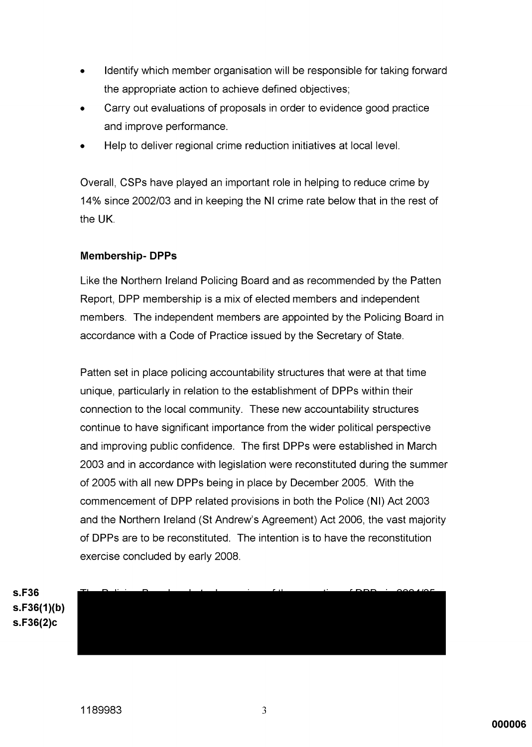- Identify which member organisation will be responsible for taking forward the appropriate action to achieve defined objectives;
- Carry out evaluations of proposals in order to evidence good practice and improve performance.
- Help to deliver regional crime reduction initiatives at local level.

Overall. CSPs have played an important role in helping to reduce crime by 14% since 2002/03 and in keeping the NI crime rate below that in the rest of the UK.

### **Membership-DPPs**

Like the Northern Ireland Policing Board and as recommended by the Patten Report. DPP membership is a mix of elected members and independent members. The independent members are appointed by the Policing Board in accordance with a Code of Practice issued by the Secretary of State.

Patten set in place policing accountability structures that were at that time unique, particularly in relation to the establishment of DPPs within their connection to the local community. These new accountability structures continue to have significant importance from the wider political perspective and improving public confidence. The first DPPs were established in March 2003 and in accordance with legislation were reconstituted during the summer of 2005 with all new DPPs being in place by December 2005. With the commencement of DPP related provisions in both the Police (NI) Act 2003 and the Northern Ireland (St Andrew's Agreement) Act 2006, the vast majority of DPPs are to be reconstituted. The intention is to have the reconstitution exercise concluded by early 2008.

s.F36  $S.F36(1)(b)$  $S.F36(2)c$ 

3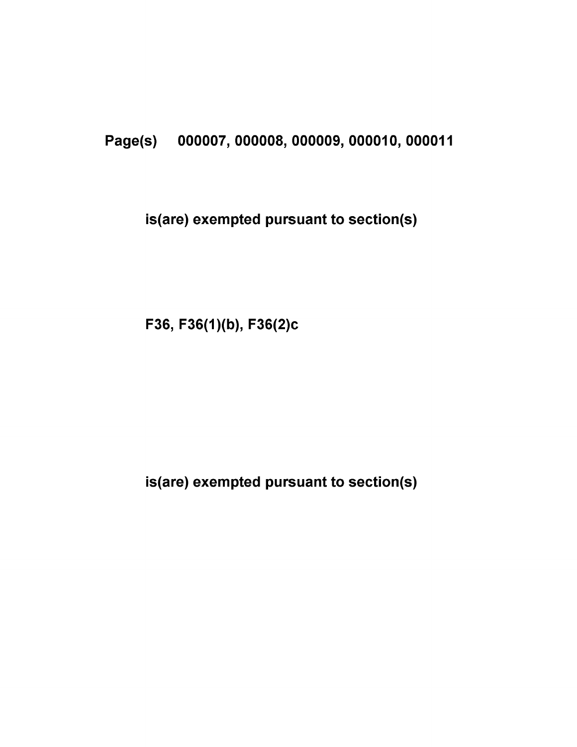## Page(s) 000007, 000008, 000009, 000010, 000011

## is(are) exempted pursuant to section(s)

F36, F36(1)(b), F36(2)c

is(are) exempted pursuant to section(s)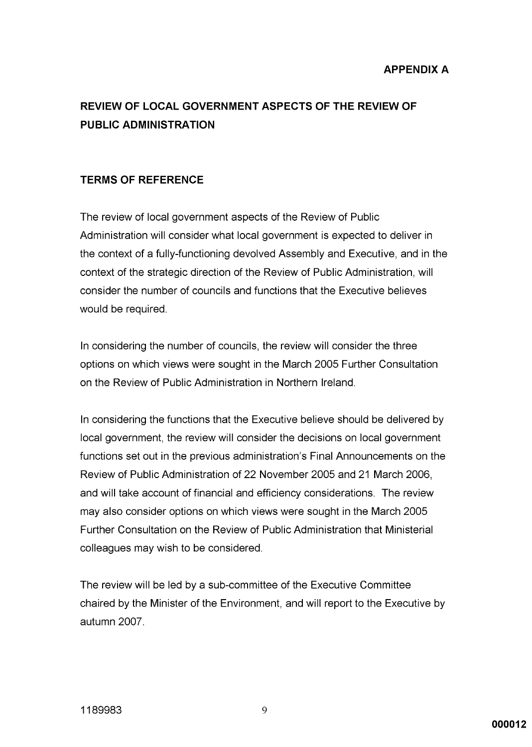## REVIEW OF LOCAL GOVERNMENT ASPECTS OF THE REVIEW OF **PUBLIC ADMINISTRATION**

### **TERMS OF REFERENCE**

The review of local government aspects of the Review of Public Administration will consider what local government is expected to deliver in the context of a fully-functioning devolved Assembly and Executive, and in the context of the strategic direction of the Review of Public Administration, will consider the number of councils and functions that the Executive believes would be required.

In considering the number of councils, the review will consider the three options on which views were sought in the March 2005 Further Consultation on the Review of Public Administration in Northern Ireland.

In considering the functions that the Executive believe should be delivered by local government, the review will consider the decisions on local government functions set out in the previous administration's Final Announcements on the Review of Public Administration of 22 November 2005 and 21 March 2006, and will take account of financial and efficiency considerations. The review may also consider options on which views were sought in the March 2005 Further Consultation on the Review of Public Administration that Ministerial colleagues may wish to be considered.

The review will be led by a sub-committee of the Executive Committee chaired by the Minister of the Environment, and will report to the Executive by autumn 2007.

9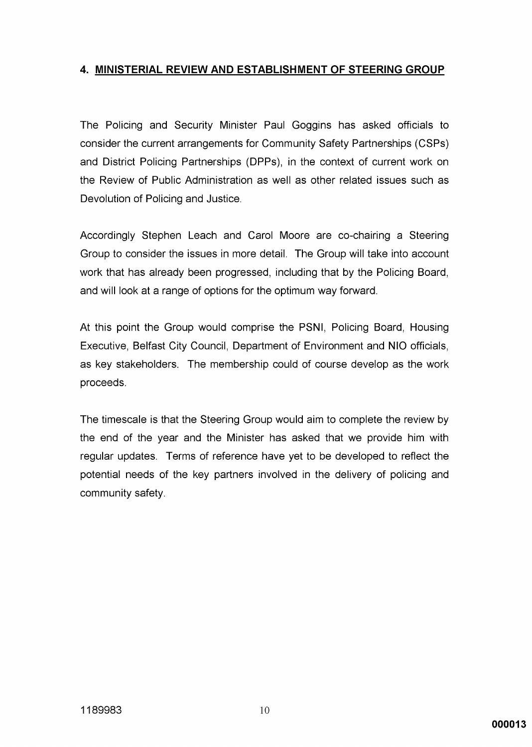### 4. MINISTERIAL REVIEW AND ESTABLISHMENT OF STEERING GROUP

The Policing and Security Minister Paul Goggins has asked officials to consider the current arrangements for Community Safety Partnerships (CSPs) and District Policing Partnerships (DPPs), in the context of current work on the Review of Public Administration as well as other related issues such as Devolution of Policing and Justice.

Accordingly Stephen Leach and Carol Moore are co-chairing a Steering Group to consider the issues in more detail. The Group will take into account work that has already been progressed, including that by the Policing Board, and will look at a range of options for the optimum way forward.

At this point the Group would comprise the PSNI, Policing Board, Housing Executive, Belfast City Council, Department of Environment and NIO officials, as key stakeholders. The membership could of course develop as the work proceeds.

The timescale is that the Steering Group would aim to complete the review by the end of the year and the Minister has asked that we provide him with regular updates. Terms of reference have yet to be developed to reflect the potential needs of the key partners involved in the delivery of policing and community safety.

000013